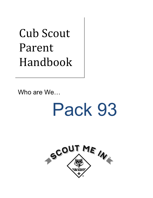# Cub Scout Parent Handbook

Who are We…

# Pack 93

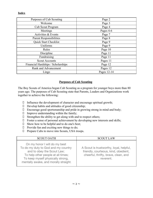#### **Index**

| Purposes of Cub Scouting           | Page 2      |
|------------------------------------|-------------|
| Welcome                            | Page 3      |
| Cub Scout Program                  | Page 4      |
| Meetings                           | Pages 4-6   |
| Activities & Events                | Page 7      |
| <b>Parent Responsibilities</b>     | Page 8      |
| Quick Start Checklist              | Page 9      |
| Uniforms                           | Page 9      |
| Rules                              | Page 10     |
| Discipline                         | Page 11     |
| Fundraising                        | Page 11     |
| <b>Scout Accounts</b>              | Pages 11    |
| Financial Hardships / Scholarships | Page 12     |
| Rank and Advancement               | Pages 12    |
| Lingo                              | Pages 12-14 |

#### **Purposes of Cub Scouting**

The Boy Scouts of America began Cub Scouting as a program for younger boys more than 80 years ago. The purposes of Cub Scouting state that Parents, Leaders and Organizations work together to achieve the following:

- Influence the development of character and encourage spiritual growth;
- $\Box$  Develop habits and attitudes of good citizenship;
- Encourage good sportsmanship and pride in growing strong in mind and body;
- $\Box$  Improve understanding within the family;
- $\Box$  Strengthen the ability to get along with and to respect others;
- $\Box$  Foster a sense of personal achievement by developing new interests and skills;
- $\Box$  Show how to be helpful and to do one's best;
- $\Box$  Provide fun and exciting new things to do;
- □ Prepare Cubs to move into Scouts, USA troops.

| <b>SCOUT OATH</b>                                                                                                                                                                                                      | <b>SCOUT LAW</b>                                                                                                                     |
|------------------------------------------------------------------------------------------------------------------------------------------------------------------------------------------------------------------------|--------------------------------------------------------------------------------------------------------------------------------------|
| On my honor I will do my best<br>To do my duty to God and my country<br>and to obey the Scout Law;<br>To help other people at all times;<br>To keep myself physically strong,<br>mentally awake, and morally straight. | A Scout is trustworthy, loyal, helpful,<br>friendly, courteous, kind, obedient,<br>cheerful, thrifty, brave, clean, and<br>reverent. |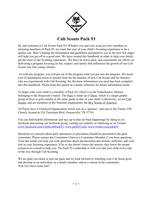

# **Cub Scouts Pack 93**

Hi, and welcome to Cub Scouts Pack 93! Whether you and your scout are new members or returning members of Pack 93, we want this year of your child's Scouting experience to be a quality one. Here's hoping the information and guidelines presented to you in the next few pages will help you get off to a good start. We have created this handbook in order to help your family get the most of our Scouting experience. We have an active pack, and concentrate our efforts on delivering a program focusing on fun, respect, and family that influences the growth of our Cub Scouts into fine young citizens.

 As with any program, you will get out of the program what you put into the program. We know a lot of information exists to absorb, both for the families of new Cub Scouts and for families who are experienced with Cub Scouting. So, the basic information you need has been compiled into this handbook. Please keep this packet as a handy reference for future information needs.

To begin with, your child is a member of Pack 93, which is in the Nolachuckey District, belonging to the Sequoyah Council. The Pack is made up of Dens, which is a single gender group of boys or girls usually in the same grade as that of your child. Collectively, we are Cub Scouts, and are members of the National organization, the Boy Scouts of America.

All Packs have a Chartered Organization which acts as a 'sponsor', and ours is the Trinity UM Church, located at 524 Tusculum Blvd, Greeneville, TN 37743.

You can find helpful information and stay up to date on Pack happenings by liking us on facebook and joining our facebook group, visiting our website, or following us on Twitter: [www.facebook.com/CubScoutPack93,](http://www.facebook.com/CubScoutPack93) [www.pack93.info](http://www.pack93.info/), [www.twitter.com/pack93](http://www.twitter.com/pack93) .

Questions or concerns about pack operations or procedures should be presented to the pack committee. Please contact the Committee Chair or a Committee Member if you have questions. Your den leader can help you with questions about advancement and awards, uniforms, and your role in your Scouting experience. If he or she doesn't know the answer, they know the proper resources to consult to help you. The Pack 93 Leadership is with you and your child every step of the way through Cub Scouting.

We are glad you chose to join our pack and we look forward to watching your Cub Scout grow and develop as an individual, as a family member, and as a citizen in the community. Now let's have some fun!!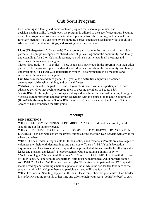# **Cub Scout Program**

Cub Scouting is a family and home centered program that encourages ethical and decision-making skills. At each level, the program is tailored to the specific age group. Scouting uses a fun program to promote character development, citizenship training, and personal fitness for every member. You can help by encouraging perfect attendance, assisting with your child's advancement, attending meetings, and assisting with transportation.

**Lions** (Kindergarten – 5, 6-year olds) These scouts participate in the program with their adult partners. The program emphasizes shared leadership, learning about the community, and family understanding. As a Lion Cub adult partner, you will also participate in all meetings and activities with your son or daughter.

**Tigers** (first grade – 6, 7-year olds): These scouts also participate in the program with their adult partners. The program emphasizes shared leadership, learning about the community, and family understanding. As a Tiger Cub adult partner, you will also participate in all meetings and activities with your son or daughter.

**Cub Scouts** (second and third grade - 8, 9 year olds): Activities emphasize character development, citizenship training, and personal fitness.

**Webelos** (fourth and fifth grade – 10 and 11 year olds): Webelos Scouts participate in more advanced activities that begin to prepare them to become members of Scouts BSA.

**Scouts BSA** (11 through 17 years of age) is designed to achieve the aims of Scouting through a vigorous outdoor program and peer group leadership with the counsel of an adult Scoutmaster. (Boys/Girls also may become Scouts BSA members if they have earned the Arrow of Light Award or have completed the fifth grade.)

#### **Meetings**

#### **DEN MEETINGS –**

**WHEN**: TUESDAY EVENINGS (SEPTEMBER – MAY). Dens do not meet weekly while schools are out for summer break.

**WHERE**: TRINITY UM CHURCH (UNLESS SPECIFIED OTHERWISE BY YOUR DEN LEADER). Each den will also go on several outings during the year. Den Leaders will advise on where and when.

**WHO**: The den leader is responsible for these meetings and materials. Parents are encouraged to volunteer their help with den meetings and participate. To satisfy BSA Youth Protection requirements, at least two adults are required to be present at all times (usually fulfilled by a den leader and assistant den leader). Please remember Cub Scouting is a family activity.

\*\*A Lion or Tiger Cub parent/adult partner MUST ATTEND ALL MEETINGS with their Lion or Tiger Scout. A "one scout to one partner" ratio must be maintained. Adult partners should ACTIVELY PARTICIPATE in den meetings. (NOTE: active participation does NOT typically include reading and returning email on a phone or tablet while the den leaders take care of the scouts – wink, wink.) Hop in there and participate – you will have fun too.<sup>\*\*</sup>

**WHY**: Lots of Cub Scouting happens in the den. Please remember that your child's Den Leader is a *volunteer* putting forth his or her time and effort to help your scout 'do his/her best' to earn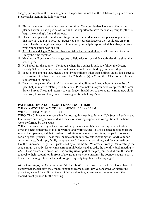badges, participate in the fun, and gain all the positive values that the Cub Scout program offers. Please assist them in the following ways.

- $\Box$  Please have your scout to den meetings on time. Your den leaders have lots of activities planned within a short period of time and it is important to have the whole group together to begin the evening's fun and projects.
- $\Box$  Please pick up scout from den meetings on time. Your den leader has places to go and kids that they have to put to bed, too. Better yet, ask your den leader if they could use an extra pair of hands that night and stay. Not only will your help be appreciated, but also you can see what your scout is working on.
- ALL Lion and Tiger Cubs must have an Adult Partner with them at all meetings, trips, etc. Enjoy the time together!
- $\Box$  Meetings will occasionally change due to field trips or special den activities throughout the school year.
- $\Box$  No School for the county = No Scouts when the weather is bad. We follow the Greene County Schools schedule for acclimate weather unless notified by your leadership.
- Scout nights are just that, please do not bring children other than siblings unless it is a special circumstance that have been approved by Cub Master(s) or Committee Chair, or a child who is interested in joining.
- Be an active parent. *Everybody* has some special abilities and 'know how' that can be of great help in matters relating to Cub Scouts. Please make sure you have completed the Parent Talent Survey Sheet and return it to your leader. In addition to the scouts learning new skills from *you*, I promise that you will have a good time helping *them*.

#### **PACK MEETINGS (ALL SCOUT DENS TOGETHER) -**

**WHEN**: *LAST* TUESDAY OF EACH MONTH, 6:30 - 8:30 PM

#### **WHERE**: TRINITY UM CHURCH

**WHO**: The Cubmaster is responsible for hosting this meeting. Parents, Cub Scouts, Leaders, and families are encouraged to attend as a means of showing support and recognition of the hard work performed by the scouts.

WHY: The pack meeting is the climax of the previous month's den meetings and activities. It gives the dens something to look forward to and work toward. This is a chance to recognize the scouts, their parents, and their leaders. In addition to its regular meetings, the pack sponsors certain special projects. These may include community projects (Scouting for Food), outdoor activities (e.g., field trips, family campouts, etc.), fundraising activities, and fun competitions like the Pinewood Derby. Each pack is led by a Cubmaster. Whereas at weekly Den meetings the scouts might do activities towards earning rank badges and awards, the monthly Pack meeting is *where* these awards are presented. It is an **important** part of the program, as it allows the scouts to receive their recognition in front of the group as a whole, inspires the younger scouts to strive towards achieving future ranks, and brings everybody together for the big night!

At Pack meetings, the Cubmaster will 'do their best' to make sure that each Den has a chance to display that special craft they made, song they learned, skit they've rehearsed, or interesting place they visited. In addition, there might be a drawing, advancement ceremony, or other themed event planned for the evening.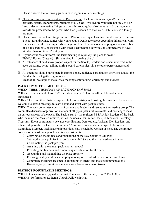Please observe the following guidelines in regards to Pack meetings.

- Please accompany your scout to the Pack meeting. Pack meetings are a *family* event brothers, sisters, grandparents, but most of all, **YOU**! We require you there not only to help keep order at the meeting (things *can* get a bit rowdy), but also because in Scouting many awards are presented to the parent who then presents it to the Scout. Cub Scouts is a family program.
- $\Box$  Please arrive to Pack meetings on time. Plan on arriving at least ten minutes early to receive a ticket for a drawing, confer with your scout's Den leader about upcoming things, chat with friends, etc., as the meeting needs to begin on time. If your scout is helping out as a member of a flag ceremony, or assisting with other Pack meeting activities, it is imperative to have him/her there on time. Thank you.
- If your scout has a uniform, the Pack meeting is *definitely* the place to wear it. Field Uniforms (Class A) - Shirts tucked in - looking sharp!
- All attendees should show proper respect for the Scouts, Leaders and others involved in the pack gathering, by not talking during award ceremonies, skits or other performances and presentations.
- All attendees should participate in games, songs, audience participation activities, and all the fun that the pack gathering involves.

Most of all, we hope to make Pack meetings entertaining, enriching, and FUN!!!

#### **PACK COMMITTEE MEETINGS –**

#### **WHEN**: THIRD THURSDAY OF EACH MONTH 6:30PM

**WHERE**: The Richard House 299 Harold Cemetery Rd Greeneville - Unless otherwise announced

**WHO**: The committee chair is responsible for organizing and hosting this meeting. Parents are welcome to attend meetings to learn about and assist with pack business.

**WHY**: The pack committee consists of parents and leaders and serves as the steering group. The committee discusses organization matters of all types, plans future events, and exchanges ideas on various aspects of the pack. The Pack is run by the registered BSA Adult Leaders of the Pack who make up the Pack Committee, which includes a Committee Chair, Cubmasters, Secretary, Treasurer, Event coordinators, Awards coordinators, Den leaders, Assistant Den Leaders, and others. All parents of a Cub Scout in Pack 93 are welcomed and encouraged to become a Committee Member. Pack leadership positions may be held by women or men. The committee consists of at least three people and is responsible for:

- Carrying out the policies and regulations of the Boy Scouts of America
- $\Box$  Setting the pack policies in accordance with BSA and the chartered organization
- $\Box$  Coordinating the pack program
- $\Box$  Assisting with the annual pack charter renewal
- $\Box$  Providing the finances and fundraising coordination for the pack
- $\Box$  Accounting and maintaining the pack property
- Ensuring quality adult leadership by making sure leadership is recruited and trained.
- Committee meetings are open to all parents to attend and make recommendations. However, only committee members are allowed to vote on issues.

#### **DISTRICT ROUNDTABLE MEETINGS:**

**WHEN:** Once a month; typically the first Thursday of the month, from 7:15 - 8:30pm **WHERE:** Reformation Lutheran Church Fellowship Hall

 $\sim$  6  $\sim$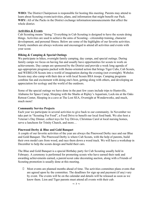WHO: The District Chairperson is responsible for hosting this meeting. Parents may attend to learn about Scouting events/activities, plans, and information that might benefit our Pack. **WHY:** All of the Packs in the District exchange information/announcements that affect the whole district.

#### **Activities & Events**

Cub Scouting means "doing." Everything in Cub Scouting is designed to have the scouts doing things. Activities are used to achieve the aims of Scouting—citizenship training, character development, and personal fitness. Below are some of the highlights of our favorite activities. Family members are always welcome and encouraged to attend all activities and events with your scout.

#### **Hiking & Camping & Special Outings**

We participate in hikes, overnight family camping, day camps, and special outings. During family camps we focus on having fun and usually have opportunities for scouts to work on achievements. Day camps are sponsored by the District and provide a week long agenda of age-appropriate programs packed with theme-oriented action that brings Tiger Cubs, Cub Scouts, and WEBELOS Scouts into a world of imagination during the evening (not overnight). Webelos Scouts may also camp with their den or with local Scouts BSA troops. Camping programs combine fun and excitement with doing one's best, getting along with others, and developing an appreciation for ecology and the world of the outdoors.

Some of the special outings we have done in the past few years include trips to Huntsville, Alabama for Space Camp, Sleeping with the Sharks at Ripley's Aquarium, Lock-ins at the Oaks Retreat Center, Sleeping in a cave at The Lost SEA, Overnight at Wonderworks, and much, much more!

#### **Community Service Projects**

Each year we participate in several activities to give back to our community. In November we take part in "Scouting For Food", a Food Drive to benefit our local food bank. We also host a Veteran's Day Dinner, collect toys for Toy Drives, Christmas Carol at local nursing homes, serve a luncheon for Trinity Church, and more…

#### **Pinewood Derby & Blue and Gold Banquet**

A couple of our favorite activities of the year are always the Pinewood Derby race and our Blue and Gold Banquet. The Pinewood Derby is where Cub Scouts, with the help of parents, build their own model cars from wood, and race them down a wood track. We will have a workshop in December to help the scouts design and build their cars.

The Blue and Gold Banquet is a special Birthday party for Cub Scouting usually held in February. A ceremony is performed for promoting scouts who have earned their rank and awarding achievements earned, a parent/scout cake decorating auction, along with a Friends of Scouting promotion is usually done at this meeting.

 $\Box$  Most events are planned months ahead of time. The activities committee plans events that are agreed upon by the committee. The deadlines for sign up and payment (if any) vary by event. The events will be on the calendar and details will be released as soon as we know them. Lion and Tiger parents must attend all events with their cub.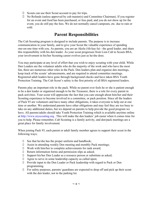- $\Box$  Scouts can use their Scout account to pay for trips.
- $\Box$  No Refunds (unless approved by cub master(s) and Committee Chairman). If you register for an event and food has been purchased, or fees paid, and you do not show up for the event, you do still pay the fees. We do not normally cancel campouts, etc. due to rain or cold.

# **Parent Responsibilities**

The Cub Scouting program is designed to include parents. The purpose is to increase communication in your family, and to give your Scout the valuable experience of spending one-on-one time with you. As parents, you are an Akela (Ah-kay-la) - the good leader, and share this responsibility with his den leader. As your scout progresses from Lion Cub to Scouts BSA, your involvement in his/her Scouting career evolves just as he/she does.

You may participate at any level of effort that you wish to enjoy scouting with your child. While Den Leaders are the volunteer adults who do the majority of the work and who have the most fun, there are numerous other roles in the Pack. Den leaders plan and organize den meetings, keep track of the scouts' advancements, and are required to attend committee meetings. Registered adult leaders have gone through background checks and have taken BSA Youth Protection Training. The Cub Scout's safety is the first priority of all BSA registered leaders.

Parents play an important role in the pack. While no parent ever feels he or she is patient enough to be a den leader or organized enough to be the Treasurer, there is a role for every parent in pack activities. Your scout will appreciate the fact that you care enough about him/her and their Scouting experience to become involved in a committee, or pack position. Since all the leaders of Pack 93 are volunteers and have many other obligations, it takes everyone to help out at one time or another. We understand parents have other obligations and may feel they are too busy to take on any additional duties, but we depend on parents to help provide the good program we have. All parents/adults should take Youth Protection Training which is available anytime online at http://www.myscouting.org . This will make the den leaders' job easier when it comes time for you to help. Please remember, Cub Scouting is a family activity, and den/pack meetings are a great place for family involvement.

When joining Pack 93, each parent or adult family member agrees to support their scout in the following ways;

- $\Box$  See that he/she has the proper uniform and handbook;
- Assist in attending weekly Den meeting and monthly Pack meetings;
- Work with him/her to complete achievements for rank award;
- $\Box$  Return information forms and permission slips as asked;
- Support his/her Den Leader as a resource person or substitute as asked;
- Agree to serve in some leadership capacity as called upon;
- Provide input to the Den Leader or Pack leadership with regard to Pack or Den programming.
- $\Box$  For safety purposes, parents/ guardians are expected to drop off and pick up their scout with the den leader, not in the parking lot.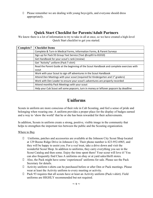$\Box$  Please remember we are dealing with young boys/girls, and everyone should dress appropriately.

### **Quick Start Checklist for Parents/Adult Partners**

We know there is a lot of information to try to take in all at once, so we have created a high-level Quick Start checklist to get you started.

| Complete? | <b>Checklist Items</b>                                                                      |
|-----------|---------------------------------------------------------------------------------------------|
|           | Complete & Turn-in Medical Forms, Information Forms, & Parent Surveys                       |
|           | Sign up for Pack 93 Group Text Service (Text @csp93 to 81010)                               |
|           | Get Handbook for your scout's rank (review)                                                 |
|           | Get "Activity" uniform (Pack T-shirt)                                                       |
|           | Read the Parent Guide at the beginning of the Scout Handbook and complete exercises with    |
|           | scout                                                                                       |
|           | Work with your Scout to sign off adventures in the Scout Handbook                           |
|           | Attend Den Meetings with your scout (required for Kindergarten and 1 <sup>st</sup> graders) |
|           | Work with Den Leader to ensure your scout's adventures are properly recorded                |
|           | Attend monthly Pack Meetings with your scout                                                |
|           | Help your Cub Scout sell some popcorn, turn in money or leftover popcorn by deadline        |

# **Uniforms**

Scouts in uniform are more conscious of their role in Cub Scouting, and feel a sense of pride and belonging when wearing one. A uniform provides a proper place for the display of badges earned and a way to 'show the world' that he or she has been rewarded for their achievements.

In addition, Scouts in uniform create a strong, positive, visible image in the community that helps to strengthen the important ties between the public and the Scouting organization.

#### Where to Buy

- Uniforms, patches and accessories are available at the Johnson City Scout Shop located at 129 Boone Ridge Drive in Johnson City. Their phone number is 423-952-6965, and they will be happy to assist you. For a *real* treat, take a drive down and visit the wonderful Scout Shop. In addition to uniforms, they carry everything you see in the Scout Catalog and then some. Enjoy the time spent there! Your scout will love it! You can also frequently find Class A uniforms on ebay or at yard sales/thrift stores.
- Also, the Pack might have some 'experienced' uniforms for sale. Please see the Pack Secretary for details.
- Activity uniform t-shirts can be purchased before or after Den or Pack meetings. Please wear at least the Activity uniform to every meeting or activity.
- $\Box$  Pack 93 requires that all scouts have at least an Activity uniform (Pack t-shirt). Field uniforms are HIGHLY recommended but not required.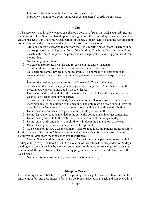$\Box$  For more information on the Field uniform, please visit http://www.scouting.org/scoutsource/CubScouts/Parents/Awards/Parents.aspx

#### **Rules**

To be sure everyone is safe, we have established a core set of rules that each scout, sibling, and parent must follow. Some are based upon BSA regulations for scout safety, others are meant to ensure respect to our Chartered Organization for the use of their facilities, and the rest are simply common sense and good manners that we expect from our your scouts.

- All Scouts must be escorted to and from the Den's meeting place (room). There will be no dropping off or picking up in front of the building. This is a safety rule and will be closely enforced. Also, please be prompt when bringing and picking up your scout from the meeting.
- $\Box$  No Running in the church.
- We expect appropriate behavior and reverence in the church sanctuary.
- $\Box$  Scout families need to respect the classrooms and church facilities.
- $\Box$  No electronic games/devices at scouting events. The purpose of the program is to encourage the scouts to interact with others; games/devices are counterproductive to that goal.
- Respect the meeting place and follow the "Leave No Trace" guidelines.
- $\Box$  Scouts should not use the equipment (toys/schools supplies, etc) or other items in the meeting place unless authorized by the Den leader.
- $\Box$  Every scout will work with the other scouts in their Den to leave the meeting place as clean as, or cleaner than, how it started.
- Scouts must implement the Buddy System at all times. Scouts must remain in their meeting place for the duration of the meeting. The only reason a scout should leave the room is for an "emergency" trip to the restroom - and that should be with a buddy.
- Do not send a scout back in to get something while you wait in the car.
- $\Box$  Do not leave the scout unattended in the car while you run back in to get something.
- Do not send your child to the restroom that doesn't count for being a buddy.
- $\Box$  Do not stop to talk and allow your child to walk down the hall and out to the car.
- $\Box$  Do not leave your scout when only one adult is present.

 Cub Scout siblings are welcome at many Pack 93 functions, but parents are responsible for the conduct of their non-Cub Scout children at all times. Parents may be asked to remove disruptive children from meetings or events if warranted.

 No Cub Scout or adult in attendance at a Pack 93 function is permitted to use alcohol or illegal drugs. Any Cub Scout or adult in violation of this rule will be suspended for 30 days, pending an expulsion review by the pack committee. Adult tobacco use is required to be at a minimum of 100 yards from the Cub Scouting program and should be outside the view of the Cub Scouts.

No Firearms are allowed at any Scouting function or activity.

#### **Discipline Process**

Cub Scouting and membership in a pack is a privilege not a right. Pack discipline is meant to ensure the safety and best interest of all our Cub Scouts. Discipline at pack and den events is at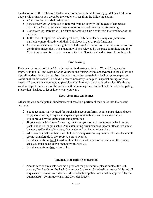the discretion of the Cub Scout leaders in accordance with the following guidelines. Failure to obey a rule or instruction given by the leader will result in the following action:

- *First warning:* a verbal instruction
- *Second warning:* A time-out or removal from an activity. In the case of dangerous behavior, a Cub Scout leader may choose to proceed directly to this warning.
- *Third warning:* Parents will be asked to remove a Cub Scout from the remainder of the activity.
- In the case of repetitive behavior problems, Cub Scout leaders may ask parents to participate more directly with their Cub Scout in den or pack functions.
- Cub Scout leaders have the right to exclude any Cub Scout from their den for reasons of continuing misconduct. The situation will be reviewed by the pack committee and the Cub Scout's parents. In extreme cases, the Cub Scout may be dismissed from the pack.

#### **Fund Raising**

Each year the scouts of Pack 93 participate in fundraising activities. We sell *Campmaster Popcorn* in the Fall and *Expo Coupon Books* in the Spring. Prizes are awarded to top sellers and top selling dens. Funds raised from these two activities go to defray Pack program expenses. Additional fundraisers will be held if deemed necessary to help with special outings or pack needs. All scouts are encouraged to participate but Parents may choose otherwise. We always want to respect the wishes of the parents without making the scout feel bad for not participating. Please don't hesitate to let us know what you want.

#### **Scout Accounts Guidelines**

All scouts who participate in fundraisers will receive a portion of their sales into their scout accounts.

- $\Box$  Scout accounts may be used for purchasing scout uniforms, scout camps, den and pack trips, scout books, derby cars or spaceships, regatta boats, and other scout items pre-approved by the cubmasters and committee.
- $\Box$  If your scout who misses 3 meetings in a row, your scout account reverts back to the pack, and is no longer usable. Any extenuating circumstances (sports, illness, etc.) must be approved by the cubmasters, den leader and pack committee chair.
- $\Box$  AOL scouts must use their funds before crossing over to Boy scouts. The scout accounts are not transferable to the troop you cross over to.
- $\Box$  Scout accounts are NOT transferable in the case of moves or transfers to other packs, etc.; you must be an active member with Pack 93.
- Scout accounts are Not refundable.

#### **Financial Hardship / Scholarships**

 $\Box$  Should fees or any costs become a problem for your family, please contact the Cub master, Den Leader or the Pack Committee Chairman. Scholarships are available and all requests will remain confidential. All scholarship applications must be approved by the cubmaster(s), committee chair, and their den leader.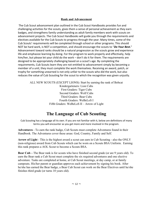#### **Rank and Advancement**

 The Cub Scout advancement plan outlined in the Cub Scout Handbooks provides fun and challenging activities for the scouts, gives them a sense of personal achievement as they earn badges, and strengthens family understanding as adult family members work with scouts on advancement projects. The Cub Scout Handbooks will guide you through the requirements and electives available for the Cub Scouts to progress through the year. Many times, some of the Cub Scouts' requirements will be completed through school or other programs. This should NOT be hard work, is NOT a competition, and should encourage the scouts to "*Do Your Best.*" Advancement toward ranks should be a natural progression as the scouts grow and experience life and emphasize learning by doing. For the program to work properly and effectively, help him/her, but please let your child do the work – don't do it for them. The requirements are designed to be appropriately challenging based on a scout's age. By completing the requirements, Cub Scouts learn they are not entitled to advancement simply by becoming a member of a unit; they must complete the work themselves. Receiving an award, patch, or trophy for something unearned is not only unfair to the scouts who did the work, but also reduces the value of Cub Scouting for the scout to which the recognition was given unjustly.

> ALL NEW SCOUTS (EXCEPT LIONS): Start by earning the rank of Bobcat Kindergarteners: Lion Cubs First Graders: Tiger Cubs Second Graders: Wolf Cubs Third Graders: Bear Cubs Fourth Graders: WeBeLoS I Fifth Graders: WeBeLoS II – Arrow of Light

# **The Language of Cub Scouting**

Cub Scouting has a language all its own. If you are not familiar with it, below are definitions of many terms you will encounter as you get more and more involved in the program.

**Adventures** - To earn the rank badge, Cub Scouts must complete Adventures found in their Handbook. The Adventures cover these areas: God, Country, Family and Self.

**Arrow of Light** - This is the highest award a scout can earn in Cub Scouting - also the ONLY (non-religious) award from Cub Scouts which can be worn on a Scouts BSA Uniform. Earning this rank prepares a AOL Scout to become a Scouts BSA.

**Bear Cub –** The Bear rank is for scouts who have finished second grade (or are 9 years old). To earn the Bear rank a Cub Scout must complete the six required adventures and one elective adventure. Tasks are completed at home, at Cub Scout meetings, at day camp, or at family campouts. His/her parent or guardian approves each achievement by signing his book. After he/she has earned the Bear badge, a Bear Cub Scout can work on the Bear Electives until he/she finishes third grade (or turns 10 years old).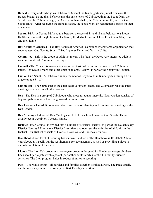**Bobcat** - Every child who joins Cub Scouts (except the Kindergarteners) must first earn the Bobcat badge. Doing this, he/she learns the basic tenets of Cub Scouting: the Scout Oath, the Scout Law, the Cub Scout sign, the Cub Scout handshake, the Cub Scout motto, and the Cub Scout salute. After receiving the Bobcat Badge, the scouts work on requirements based on their grade level.

**Scouts, BSA** - A Scouts BSA scout is between the ages of 11 and 18 and belongs to a Troop. He/She advances through these ranks: Scout, Tenderfoot, Second Class, First Class, Star, Life, and then Eagle.

**Boy Scouts of America -** The Boy Scouts of America is a nationally chartered organization that encompasses Cub Scouts, Scouts BSA, Explorer Units, and Varsity Units.

**Committee** - This is the group of adult volunteers who "run" the Pack. Any interested adult is welcome to attend Committee meetings.

**Council -** The Council is an organization of professional Scouters that oversee all Cub Scout Packs, Boy Scout Troops and other units in an area. Pack 93 is part of the Sequoyah Council.

**Cub or Cub Scout -** A Cub Scout is any member of Boy Scouts in Kindergarten through fifth grade (or age  $5 - 11$ ).

**Cubmaster** - The Cubmaster is the chief adult volunteer leader. The Cubmaster runs the Pack meetings, and advises all other leaders.

**Den** - The Den is a group of Cub Scouts who meet at regular intervals. Ideally, a den consists of boys or girls who are all working toward the same rank.

**Den Leader -** The adult volunteer who is in charge of planning and running den meetings is the Den Leader.

**Den Meeting** - Individual Den Meetings are held for each rank level of Cub Scouts. These usually occur weekly on Tuesday nights.

**District** - Each Council is divided into a number of Districts. Pack 93 is part of the Nolachuckey District. Wesley Miller is our District Executive, and oversees the activities of all Units in the District. Our District consists of Greene, Hawkins, and Hancock Counties.

**Handbook** -Each level of Scouting has its own Handbook. The Handbook is **ESSENTIAL** for your Scout, as it spells out the requirements for advancement, as well as providing a place to record completion of the same.

**Lions –** The Lion Cub program is a one-year program designed for Kindergarten-age children. Each scout participates with a parent (or another adult family member) in family-oriented activities. The Lion program helps introduce families to scouting.

**Pack -** The whole group - all our dens and families together is called a Pack. The Pack usually meets once every month. Normally the first Tuesday at 6:00pm.